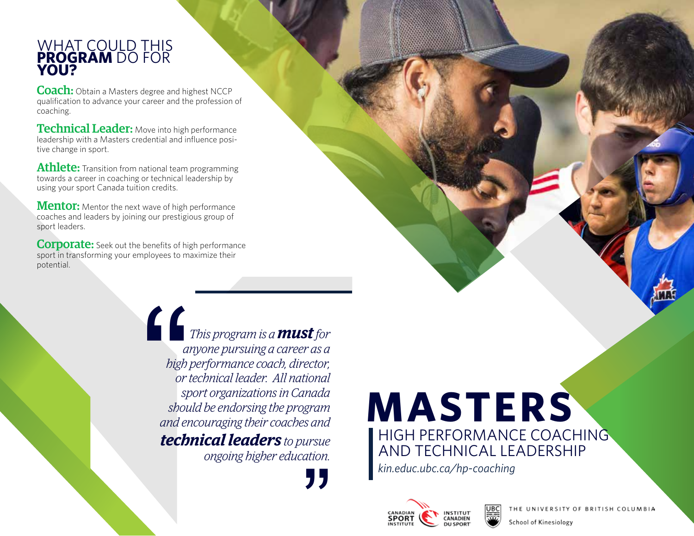#### WHAT COULD THIS **PROGRAM** DO FOR **YOU?**

**Coach:** Obtain a Masters degree and highest NCCP qualification to advance your career and the profession of coaching.

Technical Leader: Move into high performance leadership with a Masters credential and influence positive change in sport.

Athlete: Transition from national team programming towards a career in coaching or technical leadership by using your sport Canada tuition credits.

**Mentor:** Mentor the next wave of high performance coaches and leaders by joining our prestigious group of sport leaders.

**Corporate:** Seek out the benefits of high performance sport in transforming your employees to maximize their potential.

> *This program is a must for anyone pursuing a career as a high performance coach, director, or technical leader. All national sport organizations in Canada should be endorsing the program and encouraging their coaches and technical leaders to pursue ongoing higher education. a*<br> *bigh*<br> *bigh*<br> *or i*<br> *sp*<br> *shou*<br> *and er*<br> **tech**

# **MASTERS**  HIGH PERFORMANCE COACHING

AND TECHNICAL LEADERSHIP

*kin.educ.ubc.ca/hp-coaching* "





THE UNIVERSITY OF BRITISH COLUMBIA

School of Kinesiology